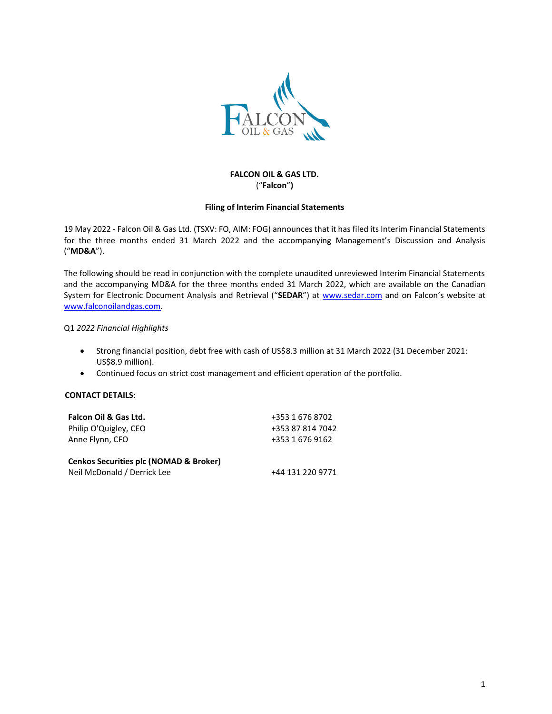

# **FALCON OIL & GAS LTD.** ("**Falcon**"**)**

#### **Filing of Interim Financial Statements**

19 May 2022 - Falcon Oil & Gas Ltd. (TSXV: FO, AIM: FOG) announces that it has filed its Interim Financial Statements for the three months ended 31 March 2022 and the accompanying Management's Discussion and Analysis ("**MD&A**").

The following should be read in conjunction with the complete unaudited unreviewed Interim Financial Statements and the accompanying MD&A for the three months ended 31 March 2022, which are available on the Canadian System for Electronic Document Analysis and Retrieval ("**SEDAR**") at www.sedar.com and on Falcon's website at [www.falconoilandgas.com.](http://www.falconoilandgas.com/)

### Q1 *2022 Financial Highlights*

- Strong financial position, debt free with cash of US\$8.3 million at 31 March 2022 (31 December 2021: US\$8.9 million).
- Continued focus on strict cost management and efficient operation of the portfolio.

#### **CONTACT DETAILS**:

| Falcon Oil & Gas Ltd.                             | +353 1 676 8702  |
|---------------------------------------------------|------------------|
| Philip O'Quigley, CEO                             | +353 87 814 7042 |
| Anne Flynn, CFO                                   | +353 1 676 9162  |
| <b>Cenkos Securities plc (NOMAD &amp; Broker)</b> |                  |
| Neil McDonald / Derrick Lee                       | +44 131 220 9771 |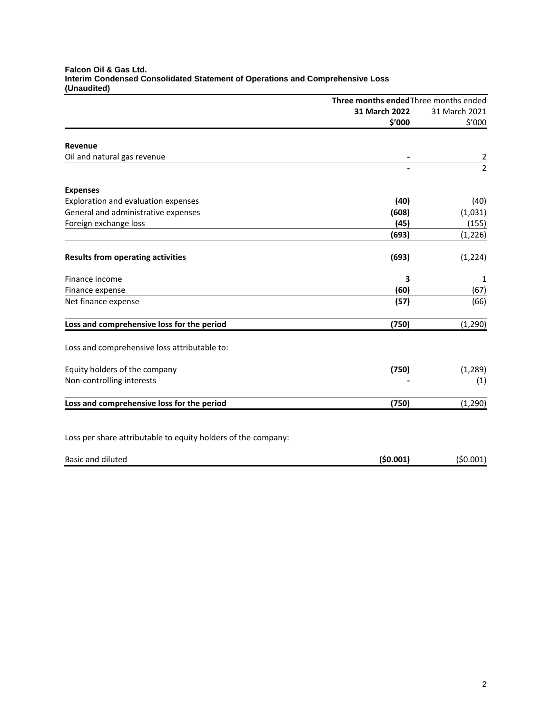| Falcon Oil & Gas Ltd.                                                         |
|-------------------------------------------------------------------------------|
| Interim Condensed Consolidated Statement of Operations and Comprehensive Loss |
| (Unaudited)                                                                   |

|                                                               |               | Three months ended Three months ended |  |
|---------------------------------------------------------------|---------------|---------------------------------------|--|
|                                                               | 31 March 2022 | 31 March 2021                         |  |
|                                                               | \$'000        | \$'000                                |  |
| Revenue                                                       |               |                                       |  |
| Oil and natural gas revenue                                   |               | $\overline{c}$                        |  |
|                                                               |               | $\overline{2}$                        |  |
| <b>Expenses</b>                                               |               |                                       |  |
| Exploration and evaluation expenses                           | (40)          | (40)                                  |  |
| General and administrative expenses                           | (608)         | (1,031)                               |  |
| Foreign exchange loss                                         | (45)          | (155)                                 |  |
|                                                               | (693)         | (1, 226)                              |  |
| <b>Results from operating activities</b>                      | (693)         | (1, 224)                              |  |
| Finance income                                                | 3             | 1                                     |  |
| Finance expense                                               | (60)          | (67)                                  |  |
| Net finance expense                                           | (57)          | (66)                                  |  |
| Loss and comprehensive loss for the period                    | (750)         | (1, 290)                              |  |
| Loss and comprehensive loss attributable to:                  |               |                                       |  |
| Equity holders of the company                                 | (750)         | (1, 289)                              |  |
| Non-controlling interests                                     |               | (1)                                   |  |
| Loss and comprehensive loss for the period                    | (750)         | (1, 290)                              |  |
| Loss per share attributable to equity holders of the company: |               |                                       |  |

| Basic and diluted | (50.001) | (50.001) |
|-------------------|----------|----------|
|                   |          |          |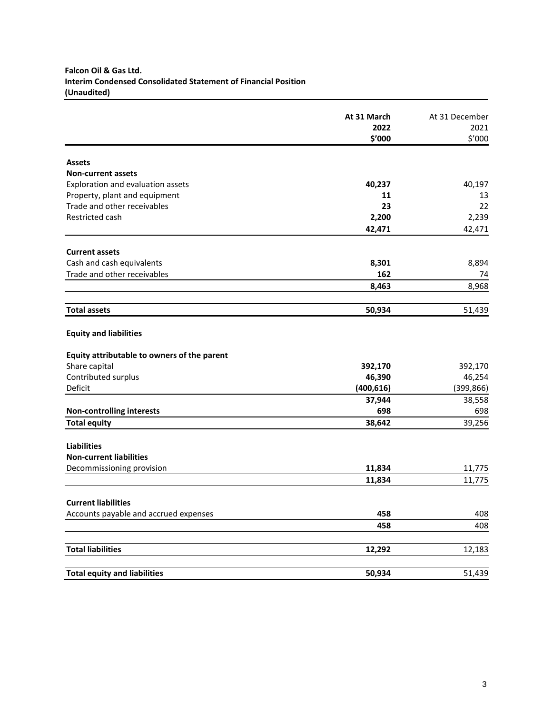# **Falcon Oil & Gas Ltd. Interim Condensed Consolidated Statement of Financial Position (Unaudited)**

|                                             | At 31 March<br>2022 | At 31 December<br>2021 |
|---------------------------------------------|---------------------|------------------------|
|                                             | \$′000              | \$'000                 |
| <b>Assets</b>                               |                     |                        |
| <b>Non-current assets</b>                   |                     |                        |
| Exploration and evaluation assets           |                     |                        |
| Property, plant and equipment               | 40,237<br>11        | 40,197<br>13           |
| Trade and other receivables                 | 23                  | 22                     |
| Restricted cash                             |                     |                        |
|                                             | 2,200<br>42,471     | 2,239<br>42,471        |
|                                             |                     |                        |
| <b>Current assets</b>                       |                     |                        |
| Cash and cash equivalents                   | 8,301               | 8,894                  |
| Trade and other receivables                 | 162                 | 74                     |
|                                             | 8,463               | 8,968                  |
|                                             |                     |                        |
| <b>Total assets</b>                         | 50,934              | 51,439                 |
| <b>Equity and liabilities</b>               |                     |                        |
| Equity attributable to owners of the parent |                     |                        |
| Share capital                               | 392,170             | 392,170                |
| Contributed surplus                         | 46,390              | 46,254                 |
| Deficit                                     | (400, 616)          | (399, 866)             |
|                                             | 37,944              | 38,558                 |
| <b>Non-controlling interests</b>            | 698                 | 698                    |
| <b>Total equity</b>                         | 38,642              | 39,256                 |
|                                             |                     |                        |
| <b>Liabilities</b>                          |                     |                        |
| <b>Non-current liabilities</b>              |                     |                        |
| Decommissioning provision                   | 11,834              | 11,775                 |
|                                             | 11,834              | 11,775                 |
| <b>Current liabilities</b>                  |                     |                        |
| Accounts payable and accrued expenses       | 458                 | 408                    |
|                                             | 458                 | 408                    |
| <b>Total liabilities</b>                    |                     |                        |
|                                             | 12,292              | 12,183                 |
| <b>Total equity and liabilities</b>         | 50,934              | 51,439                 |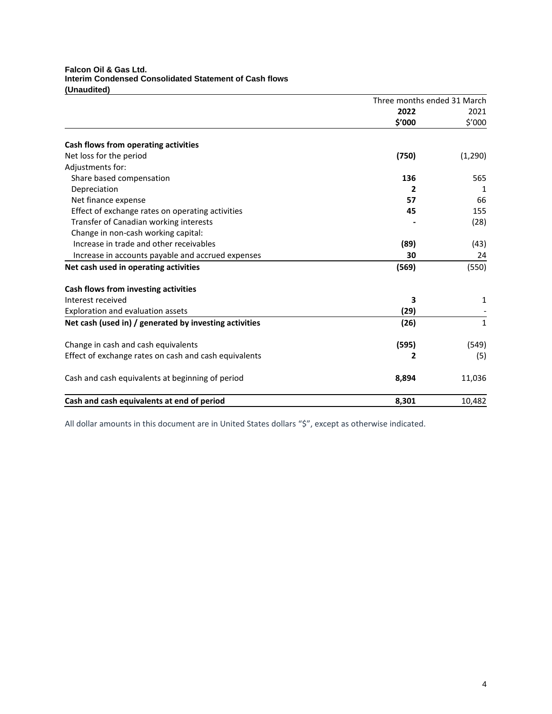# **Falcon Oil & Gas Ltd. Interim Condensed Consolidated Statement of Cash flows (Unaudited)**

|                                                        | Three months ended 31 March |         |
|--------------------------------------------------------|-----------------------------|---------|
|                                                        | 2022                        | 2021    |
|                                                        | \$′000                      | \$′000  |
| Cash flows from operating activities                   |                             |         |
| Net loss for the period                                | (750)                       | (1,290) |
| Adjustments for:                                       |                             |         |
| Share based compensation                               | 136                         | 565     |
| Depreciation                                           | 2                           | 1       |
| Net finance expense                                    | 57                          | 66      |
| Effect of exchange rates on operating activities       | 45                          | 155     |
| Transfer of Canadian working interests                 |                             | (28)    |
| Change in non-cash working capital:                    |                             |         |
| Increase in trade and other receivables                | (89)                        | (43)    |
| Increase in accounts payable and accrued expenses      | 30                          | 24      |
| Net cash used in operating activities                  | (569)                       | (550)   |
| Cash flows from investing activities                   |                             |         |
| Interest received                                      | 3                           | 1       |
| Exploration and evaluation assets                      | (29)                        |         |
| Net cash (used in) / generated by investing activities | (26)                        | 1       |
| Change in cash and cash equivalents                    | (595)                       | (549)   |
| Effect of exchange rates on cash and cash equivalents  | 2                           | (5)     |
| Cash and cash equivalents at beginning of period       | 8,894                       | 11,036  |
| Cash and cash equivalents at end of period             | 8,301                       | 10,482  |

All dollar amounts in this document are in United States dollars "\$", except as otherwise indicated.